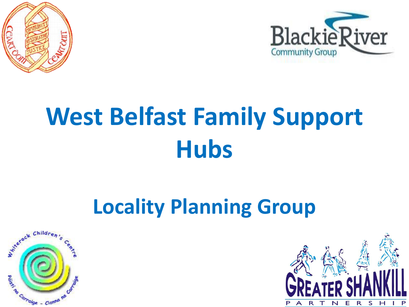



### **Locality Planning Group**



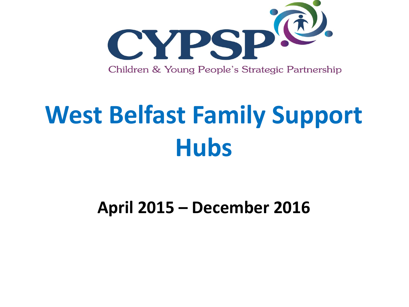

#### **April 2015 – December 2016**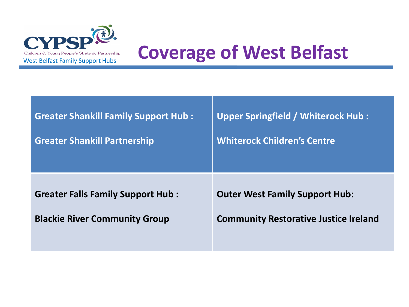

# CYPSP<sup>. 2.</sup><br>Children & Young People's Strategic Partnership **Coverage of West Belfast**

| <b>Greater Shankill Family Support Hub:</b> | <b>Upper Springfield / Whiterock Hub:</b>    |
|---------------------------------------------|----------------------------------------------|
| <b>Greater Shankill Partnership</b>         | <b>Whiterock Children's Centre</b>           |
| <b>Greater Falls Family Support Hub:</b>    | <b>Outer West Family Support Hub:</b>        |
| <b>Blackie River Community Group</b>        | <b>Community Restorative Justice Ireland</b> |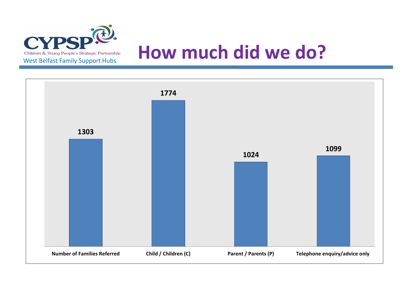

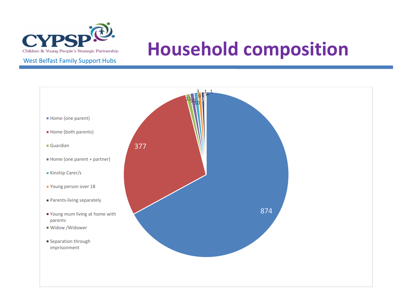

### **Household composition**

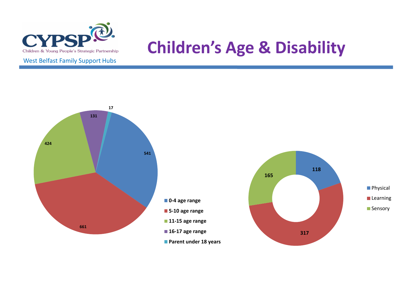

#### **Children's Age & Disability**



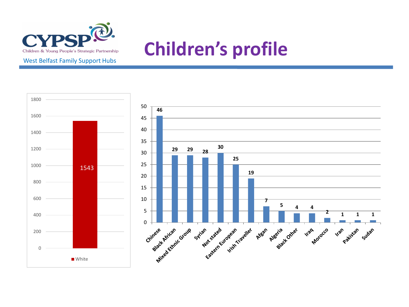

### **Children's profile**

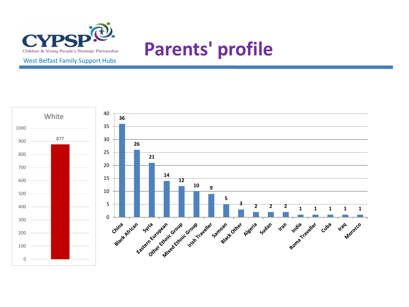

### **Parents' profile**

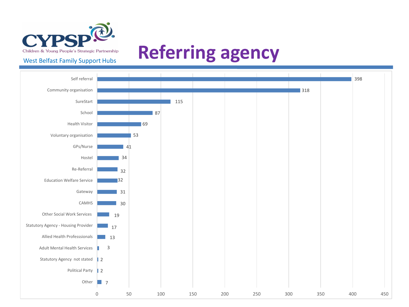

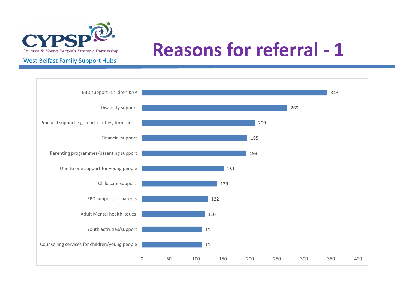

### **Reasons for referral - 1**

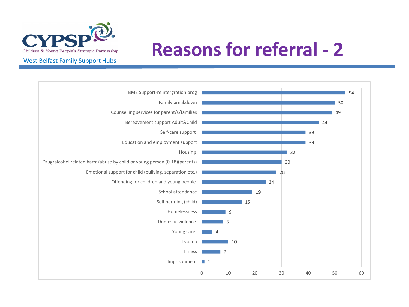

### **Reasons for referral - 2**

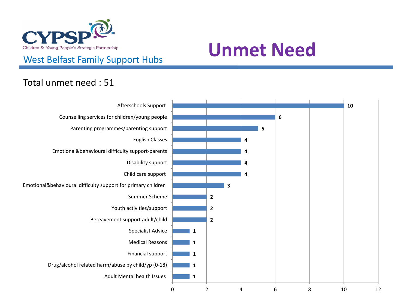

### Children & Young People's Strategic Partnership<br>
West Belfast Family Support Hubs<br>
West Belfast Family Support Hubs

#### Total unmet need : 51

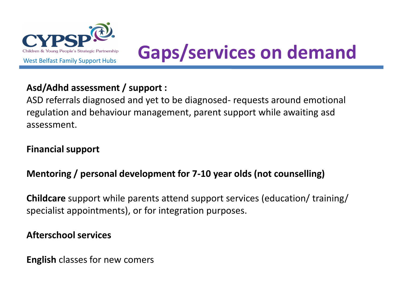

### Children & Young People's Strategic Partnership<br>West Belfast Family Support Hubs **Gaps/services on demand**

#### **Asd/Adhd assessment / support :**

ASD referrals diagnosed and yet to be diagnosed- requests around emotional regulation and behaviour management, parent support while awaiting asd assessment.

#### **Financial support**

#### **Mentoring / personal development for 7-10 year olds (not counselling)**

**Childcare** support while parents attend support services (education/ training/ specialist appointments), or for integration purposes.

#### **Afterschool services**

**English** classes for new comers